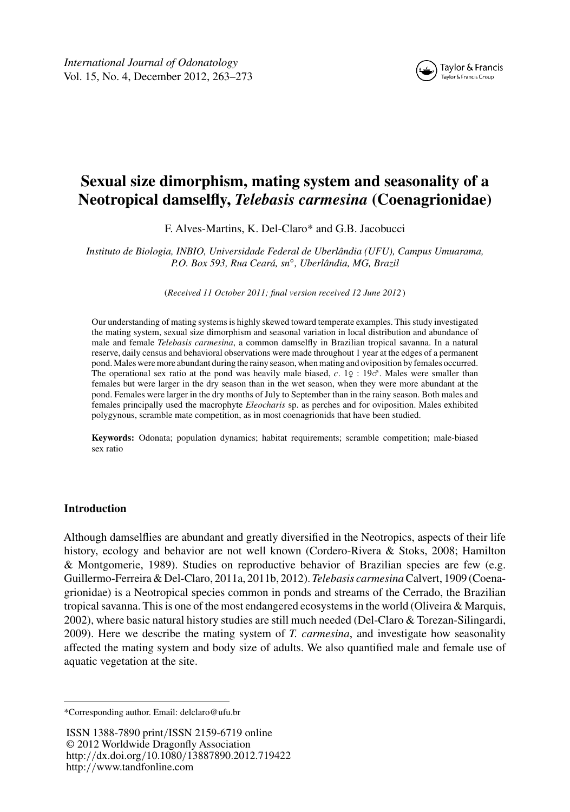

# **Sexual size dimorphism, mating system and seasonality of a Neotropical damselfly,** *Telebasis carmesina* **(Coenagrionidae)**

F. Alves-Martins, K. Del-Claro\* and G.B. Jacobucci

*Instituto de Biologia, INBIO, Universidade Federal de Uberlândia (UFU), Campus Umuarama, P.O. Box 593, Rua Ceará, sn*◦*, Uberlândia, MG, Brazil*

(*Received 11 October 2011; final version received 12 June 2012* )

Our understanding of mating systems is highly skewed toward temperate examples. This study investigated the mating system, sexual size dimorphism and seasonal variation in local distribution and abundance of male and female *Telebasis carmesina*, a common damselfly in Brazilian tropical savanna. In a natural reserve, daily census and behavioral observations were made throughout 1 year at the edges of a permanent pond. Males were more abundant during the rainy season, when mating and oviposition by females occurred. The operational sex ratio at the pond was heavily male biased, *c*. 1♀ : 19♂. Males were smaller than females but were larger in the dry season than in the wet season, when they were more abundant at the pond. Females were larger in the dry months of July to September than in the rainy season. Both males and females principally used the macrophyte *Eleocharis* sp. as perches and for oviposition. Males exhibited polygynous, scramble mate competition, as in most coenagrionids that have been studied.

**Keywords:** Odonata; population dynamics; habitat requirements; scramble competition; male-biased sex ratio

# **Introduction**

Although damselflies are abundant and greatly diversified in the Neotropics, aspects of their life history, ecology and behavior are not well known (Cordero-Rivera & Stoks, 2008; Hamilton & Montgomerie, 1989). Studies on reproductive behavior of Brazilian species are few (e.g. Guillermo-Ferreira & Del-Claro, 2011a, 2011b, 2012).*Telebasis carmesina*Calvert, 1909 (Coenagrionidae) is a Neotropical species common in ponds and streams of the Cerrado, the Brazilian tropical savanna. This is one of the most endangered ecosystems in the world (Oliveira  $\&$  Marquis, 2002), where basic natural history studies are still much needed (Del-Claro & Torezan-Silingardi, 2009). Here we describe the mating system of *T. carmesina*, and investigate how seasonality affected the mating system and body size of adults. We also quantified male and female use of aquatic vegetation at the site.

<sup>\*</sup>Corresponding author. Email: delclaro@ufu.br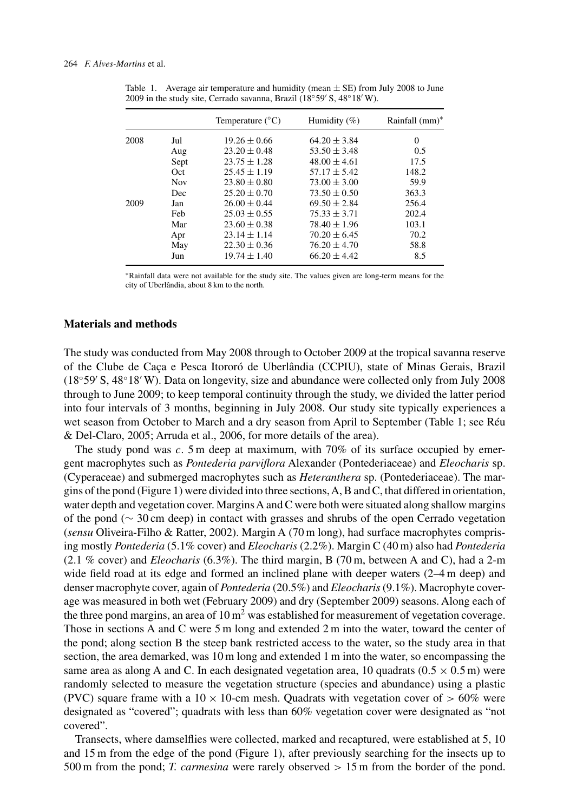| Rainfall (mm)* |
|----------------|
|                |
| 0.5            |
| 17.5           |
| 148.2          |
| 59.9           |
| 363.3          |
| 256.4          |
| 202.4          |
| 103.1          |
| 70.2           |
| 58.8           |
| 8.5            |
|                |

Table 1. Average air temperature and humidity (mean  $\pm$  SE) from July 2008 to June 2009 in the study site, Cerrado savanna, Brazil (18°59' S, 48°18' W).

∗Rainfall data were not available for the study site. The values given are long-term means for the city of Uberlândia, about 8 km to the north.

#### **Materials and methods**

The study was conducted from May 2008 through to October 2009 at the tropical savanna reserve of the Clube de Caça e Pesca Itororó de Uberlândia (CCPIU), state of Minas Gerais, Brazil (18◦59 S, 48◦18 W). Data on longevity, size and abundance were collected only from July 2008 through to June 2009; to keep temporal continuity through the study, we divided the latter period into four intervals of 3 months, beginning in July 2008. Our study site typically experiences a wet season from October to March and a dry season from April to September (Table 1; see Réu & Del-Claro, 2005; Arruda et al., 2006, for more details of the area).

The study pond was *c*. 5 m deep at maximum, with 70% of its surface occupied by emergent macrophytes such as *Pontederia parviflora* Alexander (Pontederiaceae) and *Eleocharis* sp. (Cyperaceae) and submerged macrophytes such as *Heteranthera* sp. (Pontederiaceae). The margins of the pond (Figure 1) were divided into three sections,A, B and C, that differed in orientation, water depth and vegetation cover. Margins A and C were both were situated along shallow margins of the pond (∼ 30 cm deep) in contact with grasses and shrubs of the open Cerrado vegetation (*sensu* Oliveira-Filho & Ratter, 2002). Margin A (70 m long), had surface macrophytes comprising mostly *Pontederia* (5.1% cover) and *Eleocharis* (2.2%). Margin C (40 m) also had *Pontederia* (2.1 % cover) and *Eleocharis* (6.3%). The third margin, B (70 m, between A and C), had a 2-m wide field road at its edge and formed an inclined plane with deeper waters  $(2-4 \text{ m} \text{ deep})$  and denser macrophyte cover, again of *Pontederia* (20.5%) and *Eleocharis*(9.1%). Macrophyte coverage was measured in both wet (February 2009) and dry (September 2009) seasons. Along each of the three pond margins, an area of  $10 \text{ m}^2$  was established for measurement of vegetation coverage. Those in sections A and C were 5 m long and extended 2 m into the water, toward the center of the pond; along section B the steep bank restricted access to the water, so the study area in that section, the area demarked, was 10 m long and extended 1 m into the water, so encompassing the same area as along A and C. In each designated vegetation area, 10 quadrats  $(0.5 \times 0.5 \text{ m})$  were randomly selected to measure the vegetation structure (species and abundance) using a plastic (PVC) square frame with a  $10 \times 10$ -cm mesh. Quadrats with vegetation cover of  $> 60\%$  were designated as "covered"; quadrats with less than 60% vegetation cover were designated as "not covered".

Transects, where damselflies were collected, marked and recaptured, were established at 5, 10 and 15 m from the edge of the pond (Figure 1), after previously searching for the insects up to 500 m from the pond; *T. carmesina* were rarely observed *>* 15 m from the border of the pond.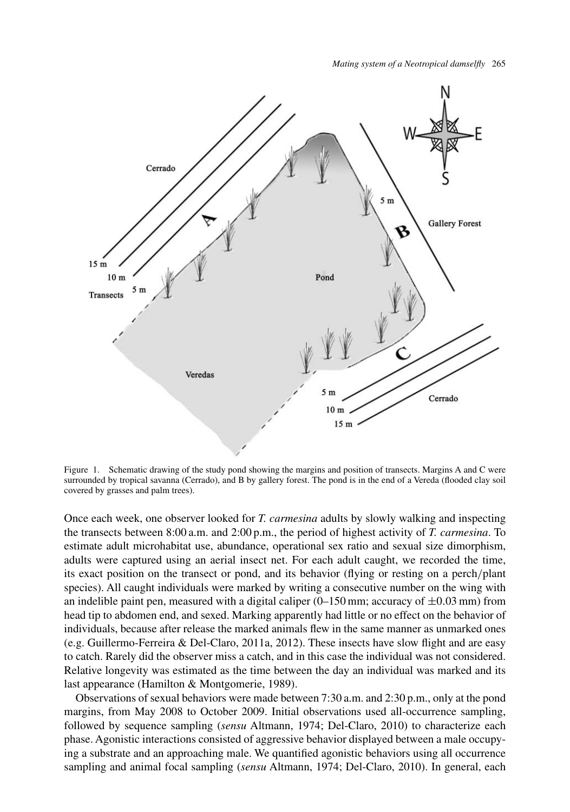

Figure 1. Schematic drawing of the study pond showing the margins and position of transects. Margins A and C were surrounded by tropical savanna (Cerrado), and B by gallery forest. The pond is in the end of a Vereda (flooded clay soil covered by grasses and palm trees).

Once each week, one observer looked for *T. carmesina* adults by slowly walking and inspecting the transects between 8:00 a.m. and 2:00 p.m., the period of highest activity of *T. carmesina*. To estimate adult microhabitat use, abundance, operational sex ratio and sexual size dimorphism, adults were captured using an aerial insect net. For each adult caught, we recorded the time, its exact position on the transect or pond, and its behavior (flying or resting on a perch*/*plant species). All caught individuals were marked by writing a consecutive number on the wing with an indelible paint pen, measured with a digital caliper  $(0-150 \text{ mm})$ ; accuracy of  $\pm 0.03 \text{ mm}$ ) from head tip to abdomen end, and sexed. Marking apparently had little or no effect on the behavior of individuals, because after release the marked animals flew in the same manner as unmarked ones (e.g. Guillermo-Ferreira & Del-Claro, 2011a, 2012). These insects have slow flight and are easy to catch. Rarely did the observer miss a catch, and in this case the individual was not considered. Relative longevity was estimated as the time between the day an individual was marked and its last appearance (Hamilton & Montgomerie, 1989).

Observations of sexual behaviors were made between 7:30 a.m. and 2:30 p.m., only at the pond margins, from May 2008 to October 2009. Initial observations used all-occurrence sampling, followed by sequence sampling (*sensu* Altmann, 1974; Del-Claro, 2010) to characterize each phase. Agonistic interactions consisted of aggressive behavior displayed between a male occupying a substrate and an approaching male. We quantified agonistic behaviors using all occurrence sampling and animal focal sampling (*sensu* Altmann, 1974; Del-Claro, 2010). In general, each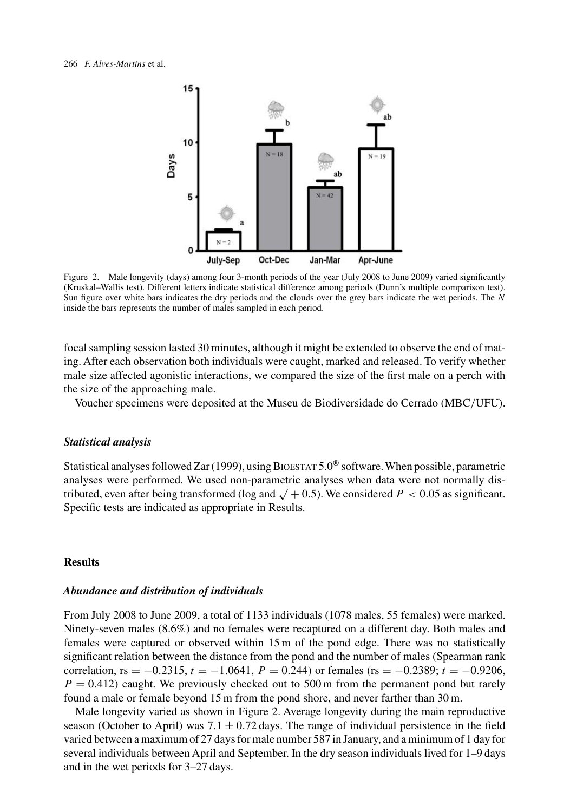

Figure 2. Male longevity (days) among four 3-month periods of the year (July 2008 to June 2009) varied significantly (Kruskal–Wallis test). Different letters indicate statistical difference among periods (Dunn's multiple comparison test). Sun figure over white bars indicates the dry periods and the clouds over the grey bars indicate the wet periods. The *N* inside the bars represents the number of males sampled in each period.

focal sampling session lasted 30 minutes, although it might be extended to observe the end of mating. After each observation both individuals were caught, marked and released. To verify whether male size affected agonistic interactions, we compared the size of the first male on a perch with the size of the approaching male.

Voucher specimens were deposited at the Museu de Biodiversidade do Cerrado (MBC*/*UFU).

## *Statistical analysis*

Statistical analyses followed Zar (1999), using BIOESTAT  $5.0^\circ$  software. When possible, parametric analyses were performed. We used non-parametric analyses when data were not normally distributed, even after being transformed (log and  $\sqrt{+0.5}$ ). We considered  $P < 0.05$  as significant. Specific tests are indicated as appropriate in Results.

## **Results**

#### *Abundance and distribution of individuals*

From July 2008 to June 2009, a total of 1133 individuals (1078 males, 55 females) were marked. Ninety-seven males (8.6%) and no females were recaptured on a different day. Both males and females were captured or observed within 15 m of the pond edge. There was no statistically significant relation between the distance from the pond and the number of males (Spearman rank correlation,  $rs = -0.2315$ ,  $t = -1.0641$ ,  $P = 0.244$ ) or females ( $rs = -0.2389$ ;  $t = -0.9206$ ,  $P = 0.412$ ) caught. We previously checked out to 500 m from the permanent pond but rarely found a male or female beyond 15 m from the pond shore, and never farther than 30 m.

Male longevity varied as shown in Figure 2. Average longevity during the main reproductive season (October to April) was  $7.1 \pm 0.72$  days. The range of individual persistence in the field varied between a maximum of 27 days for male number 587 in January, and a minimum of 1 day for several individuals between April and September. In the dry season individuals lived for 1–9 days and in the wet periods for 3–27 days.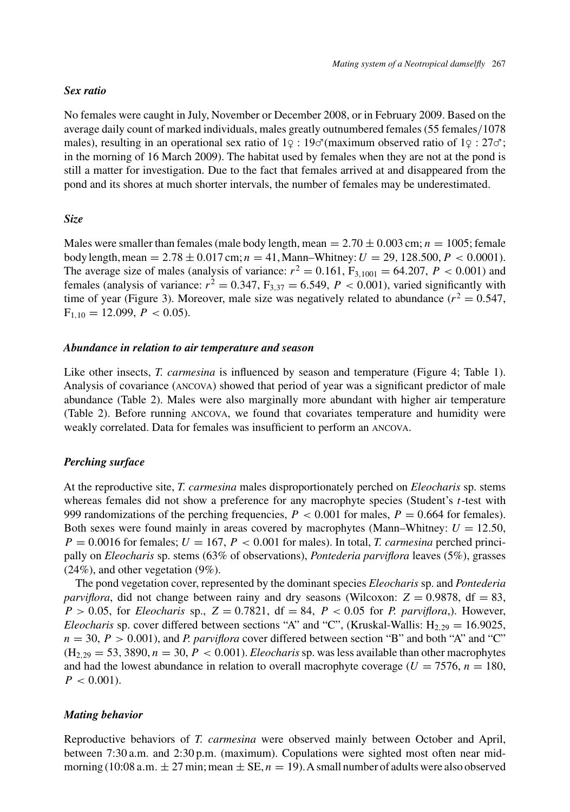## *Sex ratio*

No females were caught in July, November or December 2008, or in February 2009. Based on the average daily count of marked individuals, males greatly outnumbered females (55 females*/*1078 males), resulting in an operational sex ratio of  $1\degree$  : 19 $\degree$  (maximum observed ratio of  $1\degree$  : 27 $\degree$ ; in the morning of 16 March 2009). The habitat used by females when they are not at the pond is still a matter for investigation. Due to the fact that females arrived at and disappeared from the pond and its shores at much shorter intervals, the number of females may be underestimated.

# *Size*

Males were smaller than females (male body length, mean  $= 2.70 \pm 0.003$  cm;  $n = 1005$ ; female body length, mean = 2*.*78 ± 0*.*017 cm; *n* = 41, Mann–Whitney:*U* = 29*,* 128*.*500,*P <* 0*.*0001). The average size of males (analysis of variance:  $r^2 = 0.161$ ,  $F_{3,1001} = 64.207$ ,  $P < 0.001$ ) and females (analysis of variance:  $r^2 = 0.347$ ,  $F_{3,37} = 6.549$ ,  $P < 0.001$ ), varied significantly with time of year (Figure 3). Moreover, male size was negatively related to abundance  $(r^2 = 0.547)$ ,  $F_{1,10} = 12.099, P < 0.05$ .

## *Abundance in relation to air temperature and season*

Like other insects, *T. carmesina* is influenced by season and temperature (Figure 4; Table 1). Analysis of covariance (ancova) showed that period of year was a significant predictor of male abundance (Table 2). Males were also marginally more abundant with higher air temperature (Table 2). Before running ancova, we found that covariates temperature and humidity were weakly correlated. Data for females was insufficient to perform an ancova.

# *Perching surface*

At the reproductive site, *T. carmesina* males disproportionately perched on *Eleocharis* sp. stems whereas females did not show a preference for any macrophyte species (Student's *t*-test with 999 randomizations of the perching frequencies,  $P < 0.001$  for males,  $P = 0.664$  for females). Both sexes were found mainly in areas covered by macrophytes (Mann–Whitney:  $U = 12.50$ ,  $P = 0.0016$  for females;  $U = 167$ ,  $P < 0.001$  for males). In total, *T. carmesina* perched principally on *Eleocharis* sp. stems (63% of observations), *Pontederia parviflora* leaves (5%), grasses  $(24\%)$ , and other vegetation  $(9\%)$ .

The pond vegetation cover, represented by the dominant species *Eleocharis* sp. and *Pontederia parviflora*, did not change between rainy and dry seasons (Wilcoxon:  $Z = 0.9878$ , df = 83,  $P > 0.05$ , for *Eleocharis* sp.,  $Z = 0.7821$ , df = 84,  $P < 0.05$  for *P. parviflora*,). However, *Eleocharis* sp. cover differed between sections "A" and "C", (Kruskal-Wallis:  $H_{2,29} = 16.9025$ ,  $n = 30$ ,  $P > 0.001$ ), and *P. parviflora* cover differed between section "B" and both "A" and "C"  $(H_{2,29} = 53, 3890, n = 30, P < 0.001)$ . *Eleocharis* sp. was less available than other macrophytes and had the lowest abundance in relation to overall macrophyte coverage  $(U = 7576, n = 180,$  $P < 0.001$ ).

# *Mating behavior*

Reproductive behaviors of *T. carmesina* were observed mainly between October and April, between 7:30 a.m. and 2:30 p.m. (maximum). Copulations were sighted most often near midmorning (10:08 a.m.  $\pm$  27 min; mean  $\pm$  SE,  $n = 19$ ). A small number of adults were also observed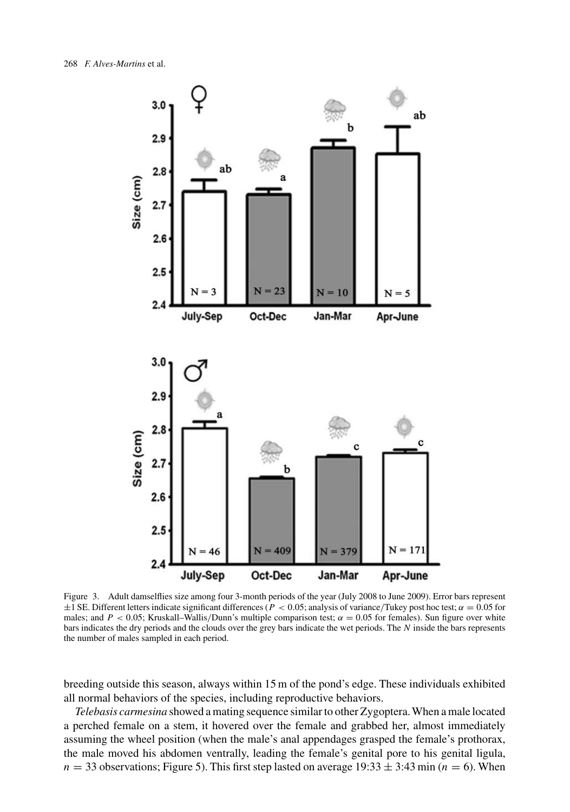

Figure 3. Adult damselflies size among four 3-month periods of the year (July 2008 to June 2009). Error bars represent ±1 SE. Different letters indicate significant differences (*P <* 0*.*05; analysis of variance*/*Tukey post hoc test; *α* = 0*.*05 for males; and  $P < 0.05$ ; Kruskall–Wallis/Dunn's multiple comparison test;  $\alpha = 0.05$  for females). Sun figure over white bars indicates the dry periods and the clouds over the grey bars indicate the wet periods. The *N* inside the bars represents the number of males sampled in each period.

breeding outside this season, always within 15 m of the pond's edge. These individuals exhibited all normal behaviors of the species, including reproductive behaviors.

*Telebasis carmesina* showed a mating sequence similar to other Zygoptera. When a male located a perched female on a stem, it hovered over the female and grabbed her, almost immediately assuming the wheel position (when the male's anal appendages grasped the female's prothorax, the male moved his abdomen ventrally, leading the female's genital pore to his genital ligula,  $n = 33$  observations; Figure 5). This first step lasted on average  $19:33 \pm 3:43$  min ( $n = 6$ ). When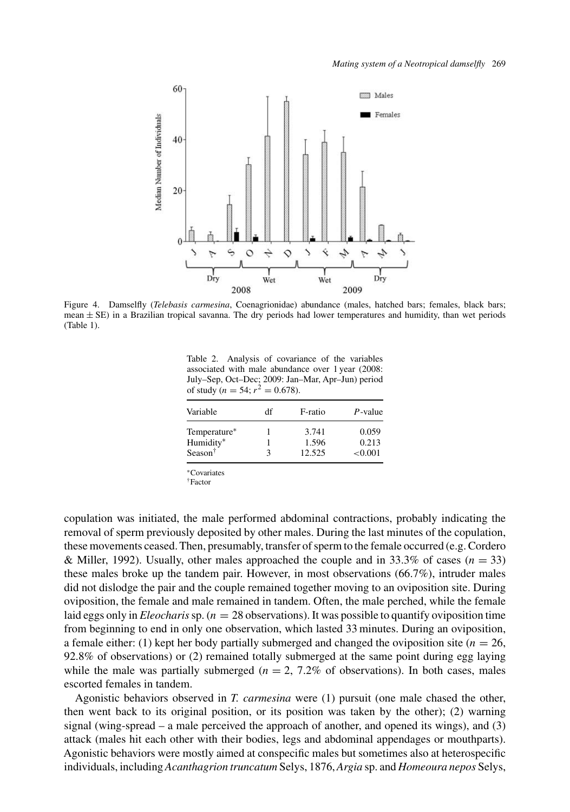

Figure 4. Damselfly (*Telebasis carmesina*, Coenagrionidae) abundance (males, hatched bars; females, black bars; mean  $\pm$  SE) in a Brazilian tropical savanna. The dry periods had lower temperatures and humidity, than wet periods (Table 1).

Table 2. Analysis of covariance of the variables associated with male abundance over 1 year (2008: July–Sep, Oct–Dec; 2009: Jan–Mar, Apr–Jun) period of study  $(n = 54; r^2 = 0.678)$ .

| Variable         | df | F-ratio | $P$ -value |
|------------------|----|---------|------------|
| Temperature*     |    | 3.741   | 0.059      |
| Humidity*        |    | 1.596   | 0.213      |
| Season $\dagger$ | 3  | 12.525  | < 0.001    |
|                  |    |         |            |

∗Covariates

†Factor

copulation was initiated, the male performed abdominal contractions, probably indicating the removal of sperm previously deposited by other males. During the last minutes of the copulation, these movements ceased. Then, presumably, transfer of sperm to the female occurred (e.g. Cordero & Miller, 1992). Usually, other males approached the couple and in  $33.3\%$  of cases ( $n = 33$ ) these males broke up the tandem pair. However, in most observations (66.7%), intruder males did not dislodge the pair and the couple remained together moving to an oviposition site. During oviposition, the female and male remained in tandem. Often, the male perched, while the female laid eggs only in *Eleocharis*sp. (*n* = 28 observations). It was possible to quantify oviposition time from beginning to end in only one observation, which lasted 33 minutes. During an oviposition, a female either: (1) kept her body partially submerged and changed the oviposition site ( $n = 26$ , 92.8% of observations) or (2) remained totally submerged at the same point during egg laying while the male was partially submerged  $(n = 2, 7.2\%$  of observations). In both cases, males escorted females in tandem.

Agonistic behaviors observed in *T. carmesina* were (1) pursuit (one male chased the other, then went back to its original position, or its position was taken by the other); (2) warning signal (wing-spread – a male perceived the approach of another, and opened its wings), and (3) attack (males hit each other with their bodies, legs and abdominal appendages or mouthparts). Agonistic behaviors were mostly aimed at conspecific males but sometimes also at heterospecific individuals, including*Acanthagrion truncatum* Selys, 1876,*Argia* sp. and *Homeoura nepos* Selys,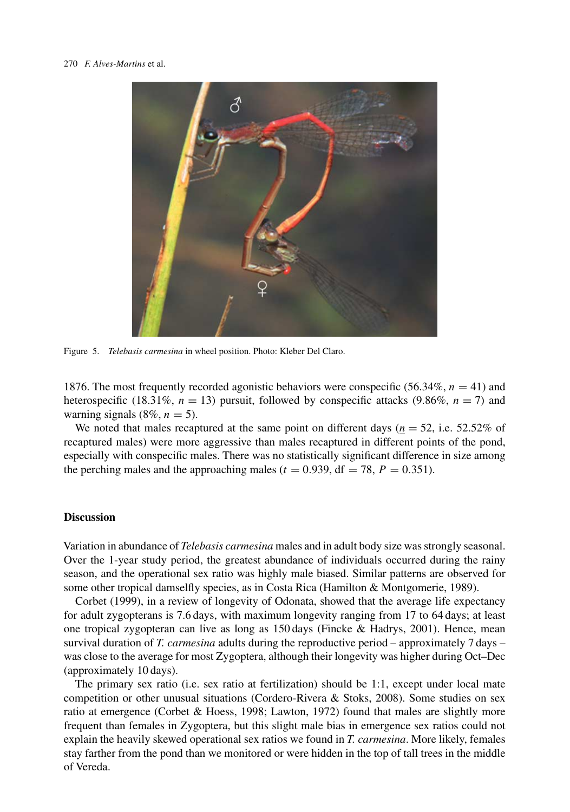

Figure 5. *Telebasis carmesina* in wheel position. Photo: Kleber Del Claro.

1876. The most frequently recorded agonistic behaviors were conspecific (56.34%,  $n = 41$ ) and heterospecific (18.31%,  $n = 13$ ) pursuit, followed by conspecific attacks (9.86%,  $n = 7$ ) and warning signals  $(8\%, n = 5)$ .

We noted that males recaptured at the same point on different days ( $n = 52$ , i.e. 52.52% of recaptured males) were more aggressive than males recaptured in different points of the pond, especially with conspecific males. There was no statistically significant difference in size among the perching males and the approaching males ( $t = 0.939$ , df = 78,  $P = 0.351$ ).

#### **Discussion**

Variation in abundance of *Telebasis carmesina* males and in adult body size was strongly seasonal. Over the 1-year study period, the greatest abundance of individuals occurred during the rainy season, and the operational sex ratio was highly male biased. Similar patterns are observed for some other tropical damselfly species, as in Costa Rica (Hamilton & Montgomerie, 1989).

Corbet (1999), in a review of longevity of Odonata, showed that the average life expectancy for adult zygopterans is 7.6 days, with maximum longevity ranging from 17 to 64 days; at least one tropical zygopteran can live as long as 150 days (Fincke & Hadrys, 2001). Hence, mean survival duration of *T. carmesina* adults during the reproductive period – approximately 7 days – was close to the average for most Zygoptera, although their longevity was higher during Oct–Dec (approximately 10 days).

The primary sex ratio (i.e. sex ratio at fertilization) should be 1:1, except under local mate competition or other unusual situations (Cordero-Rivera & Stoks, 2008). Some studies on sex ratio at emergence (Corbet & Hoess, 1998; Lawton, 1972) found that males are slightly more frequent than females in Zygoptera, but this slight male bias in emergence sex ratios could not explain the heavily skewed operational sex ratios we found in *T. carmesina*. More likely, females stay farther from the pond than we monitored or were hidden in the top of tall trees in the middle of Vereda.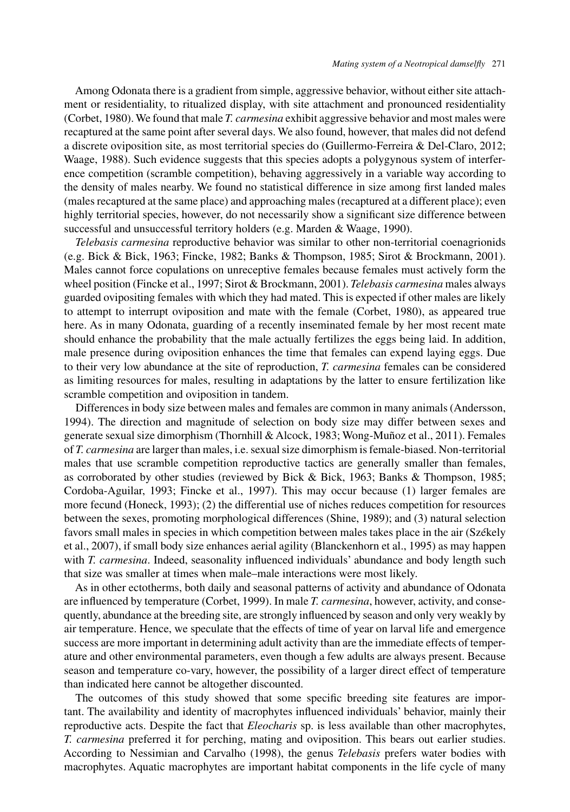Among Odonata there is a gradient from simple, aggressive behavior, without either site attachment or residentiality, to ritualized display, with site attachment and pronounced residentiality (Corbet, 1980). We found that male *T. carmesina* exhibit aggressive behavior and most males were recaptured at the same point after several days. We also found, however, that males did not defend a discrete oviposition site, as most territorial species do (Guillermo-Ferreira & Del-Claro, 2012; Waage, 1988). Such evidence suggests that this species adopts a polygynous system of interference competition (scramble competition), behaving aggressively in a variable way according to the density of males nearby. We found no statistical difference in size among first landed males (males recaptured at the same place) and approaching males (recaptured at a different place); even highly territorial species, however, do not necessarily show a significant size difference between successful and unsuccessful territory holders (e.g. Marden & Waage, 1990).

*Telebasis carmesina* reproductive behavior was similar to other non-territorial coenagrionids (e.g. Bick & Bick, 1963; Fincke, 1982; Banks & Thompson, 1985; Sirot & Brockmann, 2001). Males cannot force copulations on unreceptive females because females must actively form the wheel position (Fincke et al., 1997; Sirot & Brockmann, 2001). *Telebasis carmesina* males always guarded ovipositing females with which they had mated. This is expected if other males are likely to attempt to interrupt oviposition and mate with the female (Corbet, 1980), as appeared true here. As in many Odonata, guarding of a recently inseminated female by her most recent mate should enhance the probability that the male actually fertilizes the eggs being laid. In addition, male presence during oviposition enhances the time that females can expend laying eggs. Due to their very low abundance at the site of reproduction, *T. carmesina* females can be considered as limiting resources for males, resulting in adaptations by the latter to ensure fertilization like scramble competition and oviposition in tandem.

Differences in body size between males and females are common in many animals (Andersson, 1994). The direction and magnitude of selection on body size may differ between sexes and generate sexual size dimorphism (Thornhill & Alcock, 1983; Wong-Muñoz et al., 2011). Females of *T. carmesina* are larger than males, i.e. sexual size dimorphism is female-biased. Non-territorial males that use scramble competition reproductive tactics are generally smaller than females, as corroborated by other studies (reviewed by Bick & Bick, 1963; Banks & Thompson, 1985; Cordoba-Aguilar, 1993; Fincke et al., 1997). This may occur because (1) larger females are more fecund (Honeck, 1993); (2) the differential use of niches reduces competition for resources between the sexes, promoting morphological differences (Shine, 1989); and (3) natural selection favors small males in species in which competition between males takes place in the air (Székely et al., 2007), if small body size enhances aerial agility (Blanckenhorn et al., 1995) as may happen with *T. carmesina*. Indeed, seasonality influenced individuals' abundance and body length such that size was smaller at times when male–male interactions were most likely.

As in other ectotherms, both daily and seasonal patterns of activity and abundance of Odonata are influenced by temperature (Corbet, 1999). In male *T. carmesina*, however, activity, and consequently, abundance at the breeding site, are strongly influenced by season and only very weakly by air temperature. Hence, we speculate that the effects of time of year on larval life and emergence success are more important in determining adult activity than are the immediate effects of temperature and other environmental parameters, even though a few adults are always present. Because season and temperature co-vary, however, the possibility of a larger direct effect of temperature than indicated here cannot be altogether discounted.

The outcomes of this study showed that some specific breeding site features are important. The availability and identity of macrophytes influenced individuals' behavior, mainly their reproductive acts. Despite the fact that *Eleocharis* sp. is less available than other macrophytes, *T. carmesina* preferred it for perching, mating and oviposition. This bears out earlier studies. According to Nessimian and Carvalho (1998), the genus *Telebasis* prefers water bodies with macrophytes. Aquatic macrophytes are important habitat components in the life cycle of many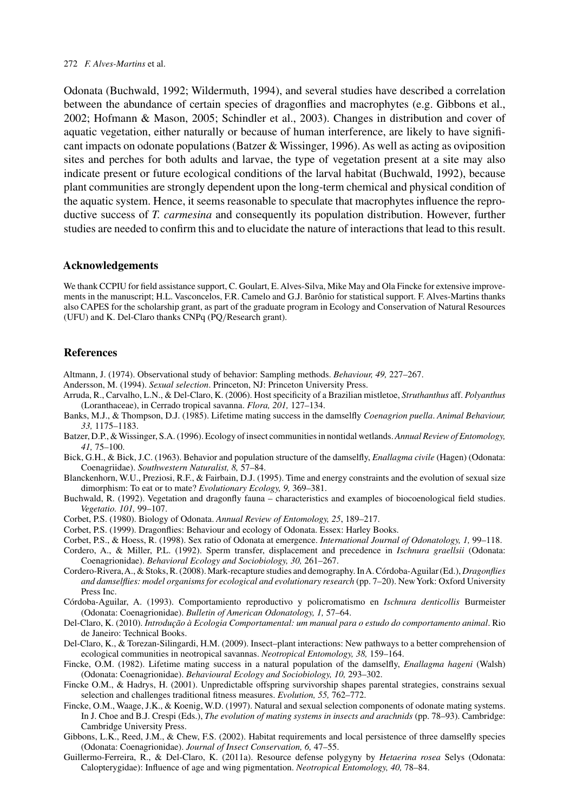Odonata (Buchwald, 1992; Wildermuth, 1994), and several studies have described a correlation between the abundance of certain species of dragonflies and macrophytes (e.g. Gibbons et al., 2002; Hofmann & Mason, 2005; Schindler et al., 2003). Changes in distribution and cover of aquatic vegetation, either naturally or because of human interference, are likely to have significant impacts on odonate populations (Batzer & Wissinger, 1996). As well as acting as oviposition sites and perches for both adults and larvae, the type of vegetation present at a site may also indicate present or future ecological conditions of the larval habitat (Buchwald, 1992), because plant communities are strongly dependent upon the long-term chemical and physical condition of the aquatic system. Hence, it seems reasonable to speculate that macrophytes influence the reproductive success of *T. carmesina* and consequently its population distribution. However, further studies are needed to confirm this and to elucidate the nature of interactions that lead to this result.

## **Acknowledgements**

We thank CCPIU for field assistance support, C. Goulart, E. Alves-Silva, Mike May and Ola Fincke for extensive improvements in the manuscript; H.L. Vasconcelos, F.R. Camelo and G.J. Barônio for statistical support. F. Alves-Martins thanks also CAPES for the scholarship grant, as part of the graduate program in Ecology and Conservation of Natural Resources (UFU) and K. Del-Claro thanks CNPq (PQ*/*Research grant).

#### **References**

- Altmann, J. (1974). Observational study of behavior: Sampling methods. *Behaviour, 49,* 227–267.
- Andersson, M. (1994). *Sexual selection*. Princeton, NJ: Princeton University Press.
- Arruda, R., Carvalho, L.N., & Del-Claro, K. (2006). Host specificity of a Brazilian mistletoe, *Struthanthus* aff. *Polyanthus* (Loranthaceae), in Cerrado tropical savanna. *Flora, 201,* 127–134.
- Banks, M.J., & Thompson, D.J. (1985). Lifetime mating success in the damselfly *Coenagrion puella*. *Animal Behaviour, 33,* 1175–1183.
- Batzer, D.P., & Wissinger, S.A. (1996). Ecology of insect communities in nontidal wetlands.*Annual Review of Entomology, 41,* 75–100.
- Bick, G.H., & Bick, J.C. (1963). Behavior and population structure of the damselfly, *Enallagma civile* (Hagen) (Odonata: Coenagriidae). *Southwestern Naturalist, 8,* 57–84.
- Blanckenhorn, W.U., Preziosi, R.F., & Fairbain, D.J. (1995). Time and energy constraints and the evolution of sexual size dimorphism: To eat or to mate? *Evolutionary Ecology, 9,* 369–381.
- Buchwald, R. (1992). Vegetation and dragonfly fauna characteristics and examples of biocoenological field studies. *Vegetatio. 101,* 99–107.
- Corbet, P.S. (1980). Biology of Odonata. *Annual Review of Entomology, 25*, 189–217.
- Corbet, P.S. (1999). Dragonflies: Behaviour and ecology of Odonata. Essex: Harley Books.
- Corbet, P.S., & Hoess, R. (1998). Sex ratio of Odonata at emergence. *International Journal of Odonatology, 1,* 99–118.
- Cordero, A., & Miller, P.L. (1992). Sperm transfer, displacement and precedence in *Ischnura graellsii* (Odonata: Coenagrionidae). *Behavioral Ecology and Sociobiology, 30,* 261–267.
- Cordero-Rivera,A., & Stoks, R. (2008). Mark-recapture studies and demography. InA. Córdoba-Aguilar (Ed.), *Dragonflies and damselflies: model organisms for ecological and evolutionary research* (pp. 7–20). NewYork: Oxford University Press Inc.
- Córdoba-Aguilar, A. (1993). Comportamiento reproductivo y policromatismo en *Ischnura denticollis* Burmeister (Odonata: Coenagrionidae). *Bulletin of American Odonatology, 1,* 57–64.
- Del-Claro, K. (2010). *Introdução à Ecologia Comportamental: um manual para o estudo do comportamento animal*. Rio de Janeiro: Technical Books.
- Del-Claro, K., & Torezan-Silingardi, H.M. (2009). Insect–plant interactions: New pathways to a better comprehension of ecological communities in neotropical savannas. *Neotropical Entomology, 38,* 159–164.
- Fincke, O.M. (1982). Lifetime mating success in a natural population of the damselfly, *Enallagma hageni* (Walsh) (Odonata: Coenagrionidae). *Behavioural Ecology and Sociobiology, 10,* 293–302.
- Fincke O.M., & Hadrys, H. (2001). Unpredictable offspring survivorship shapes parental strategies, constrains sexual selection and challenges traditional fitness measures. *Evolution, 55,* 762–772.
- Fincke, O.M., Waage, J.K., & Koenig, W.D. (1997). Natural and sexual selection components of odonate mating systems. In J. Choe and B.J. Crespi (Eds.), *The evolution of mating systems in insects and arachnids* (pp. 78–93). Cambridge: Cambridge University Press.
- Gibbons, L.K., Reed, J.M., & Chew, F.S. (2002). Habitat requirements and local persistence of three damselfly species (Odonata: Coenagrionidae). *Journal of Insect Conservation, 6,* 47–55.
- Guillermo-Ferreira, R., & Del-Claro, K. (2011a). Resource defense polygyny by *Hetaerina rosea* Selys (Odonata: Calopterygidae): Influence of age and wing pigmentation. *Neotropical Entomology, 40,* 78–84.